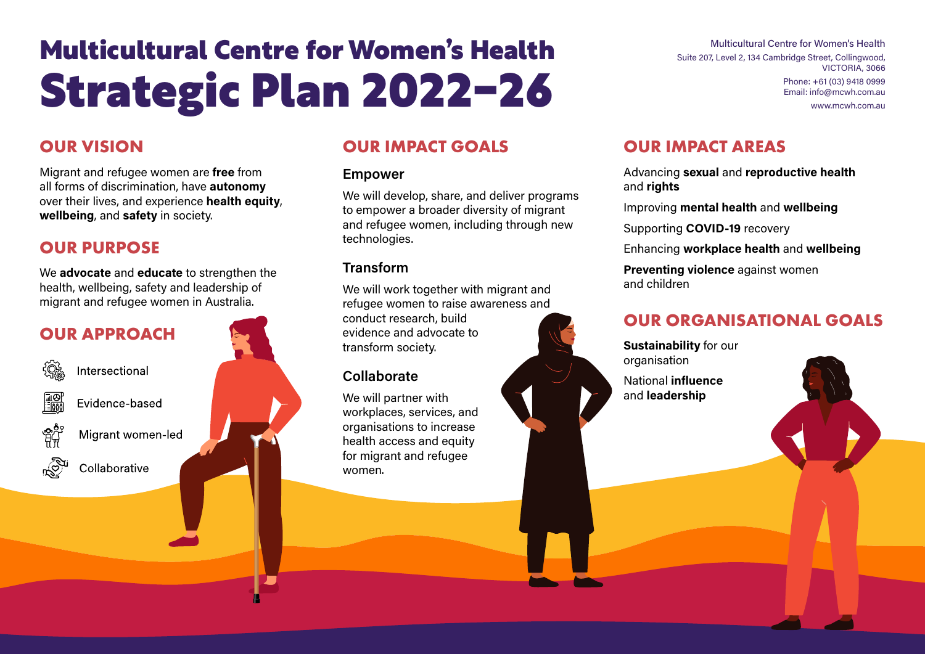# Multicultural Centre for Women's Health Strategic Plan 2022-26

## **OUR VISION**

Migrant and refugee women are **free** from all forms of discrimination, have **autonomy** over their lives, and experience **health equity**, **wellbeing**, and **safety** in society.

## **OUR PURPOSE**

We **advocate** and **educate** to strengthen the health, wellbeing, safety and leadership of migrant and refugee women in Australia.



# **OUR IMPACT GOALS**

#### **Empower**

We will develop, share, and deliver programs to empower a broader diversity of migrant and refugee women, including through new technologies.

#### **Transform**

We will work together with migrant and refugee women to raise awareness and conduct research, build evidence and advocate to transform society.

#### **Collaborate**

We will partner with workplaces, services, and organisations to increase health access and equity for migrant and refugee women.

## **OUR IMPACT AREAS**

Advancing **sexual** and **reproductive health** and **rights**

Multicultural Centre for Women's Health

VICTORIA, 3066

Phone: +61 (03) 9418 0999 Email: [info@mcwh.com.au](mailto:info%40mcwh.com.au%20?subject=) [www.mcwh.com.au](http://www.mcwh.com.au)

Suite 207, Level 2, 134 Cambridge Street, Collingwood,

Improving **mental health** and **wellbeing**

Supporting **COVID-19** recovery

Enhancing **workplace health** and **wellbeing**

**Preventing violence** against women and children

# **OUR ORGANISATIONAL GOALS**

**Sustainability** for our organisation National **influence** and **leadership**